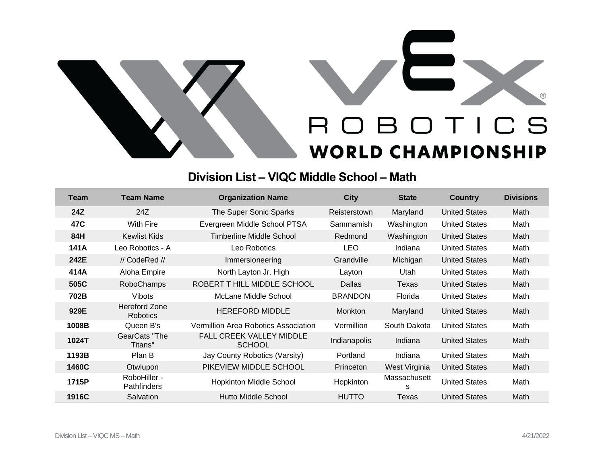

## **Division List – VIQC Middle School – Math**

| Team  | <b>Team Name</b>                        | <b>Organization Name</b>                         | <b>City</b>      | <b>State</b>      | <b>Country</b>       | <b>Divisions</b> |
|-------|-----------------------------------------|--------------------------------------------------|------------------|-------------------|----------------------|------------------|
| 24Z   | 24Z                                     | The Super Sonic Sparks                           | Reisterstown     | Maryland          | <b>United States</b> | Math             |
| 47C   | With Fire                               | Evergreen Middle School PTSA                     | Sammamish        | Washington        | <b>United States</b> | Math             |
| 84H   | <b>Kewlist Kids</b>                     | Timberline Middle School                         | Redmond          | Washington        | <b>United States</b> | Math             |
| 141A  | Leo Robotics - A                        | Leo Robotics                                     | <b>LEO</b>       | Indiana           | <b>United States</b> | Math             |
| 242E  | // CodeRed //                           | Immersioneering                                  | Grandville       | Michigan          | <b>United States</b> | Math             |
| 414A  | Aloha Empire                            | North Layton Jr. High                            | Layton           | Utah              | <b>United States</b> | Math             |
| 505C  | RoboChamps                              | ROBERT T HILL MIDDLE SCHOOL                      | Dallas           | Texas             | <b>United States</b> | Math             |
| 702B  | <b>Vibots</b>                           | McLane Middle School                             | <b>BRANDON</b>   | Florida           | <b>United States</b> | Math             |
| 929E  | <b>Hereford Zone</b><br><b>Robotics</b> | <b>HEREFORD MIDDLE</b>                           | <b>Monkton</b>   | Maryland          | <b>United States</b> | Math             |
| 1008B | Queen B's                               | Vermillion Area Robotics Association             | Vermillion       | South Dakota      | <b>United States</b> | Math             |
| 1024T | GearCats "The<br>Titans"                | <b>FALL CREEK VALLEY MIDDLE</b><br><b>SCHOOL</b> | Indianapolis     | Indiana           | <b>United States</b> | Math             |
| 1193B | Plan B                                  | Jay County Robotics (Varsity)                    | Portland         | Indiana           | <b>United States</b> | Math             |
| 1460C | Otwlupon                                | PIKEVIEW MIDDLE SCHOOL                           | <b>Princeton</b> | West Virginia     | <b>United States</b> | Math             |
| 1715P | RoboHiller -<br><b>Pathfinders</b>      | <b>Hopkinton Middle School</b>                   | Hopkinton        | Massachusett<br>S | <b>United States</b> | Math             |
| 1916C | Salvation                               | Hutto Middle School                              | <b>HUTTO</b>     | Texas             | <b>United States</b> | Math             |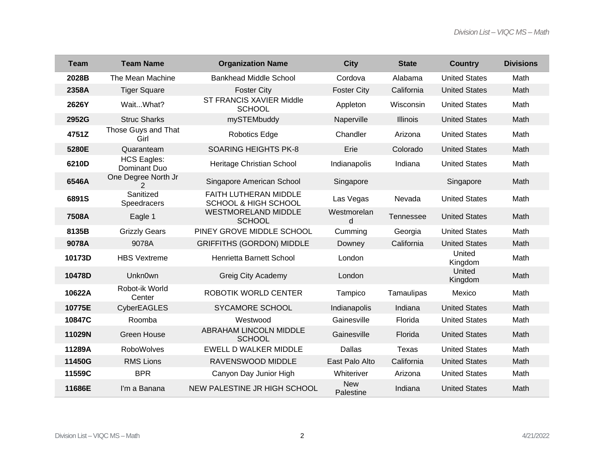| <b>Team</b> | <b>Team Name</b>                      | <b>Organization Name</b>                                 | <b>City</b>             | <b>State</b>    | <b>Country</b>       | <b>Divisions</b> |
|-------------|---------------------------------------|----------------------------------------------------------|-------------------------|-----------------|----------------------|------------------|
| 2028B       | The Mean Machine                      | <b>Bankhead Middle School</b>                            | Cordova                 | Alabama         | <b>United States</b> | Math             |
| 2358A       | <b>Tiger Square</b>                   | <b>Foster City</b>                                       | <b>Foster City</b>      | California      | <b>United States</b> | Math             |
| 2626Y       | WaitWhat?                             | ST FRANCIS XAVIER Middle<br><b>SCHOOL</b>                | Appleton                | Wisconsin       | <b>United States</b> | Math             |
| 2952G       | <b>Struc Sharks</b>                   | mySTEMbuddy                                              | Naperville              | <b>Illinois</b> | <b>United States</b> | Math             |
| 4751Z       | Those Guys and That<br>Girl           | Robotics Edge                                            | Chandler                | Arizona         | <b>United States</b> | Math             |
| 5280E       | Quaranteam                            | <b>SOARING HEIGHTS PK-8</b>                              | Erie                    | Colorado        | <b>United States</b> | Math             |
| 6210D       | <b>HCS Eagles:</b><br>Dominant Duo    | Heritage Christian School                                | Indianapolis            | Indiana         | <b>United States</b> | Math             |
| 6546A       | One Degree North Jr<br>$\overline{2}$ | Singapore American School                                | Singapore               |                 | Singapore            | Math             |
| 6891S       | Sanitized<br><b>Speedracers</b>       | FAITH LUTHERAN MIDDLE<br><b>SCHOOL &amp; HIGH SCHOOL</b> | Las Vegas               | Nevada          | <b>United States</b> | Math             |
| 7508A       | Eagle 1                               | <b>WESTMORELAND MIDDLE</b><br><b>SCHOOL</b>              | Westmorelan<br>d        | Tennessee       | <b>United States</b> | Math             |
| 8135B       | <b>Grizzly Gears</b>                  | PINEY GROVE MIDDLE SCHOOL                                | Cumming                 | Georgia         | <b>United States</b> | Math             |
| 9078A       | 9078A                                 | <b>GRIFFITHS (GORDON) MIDDLE</b>                         | Downey                  | California      | <b>United States</b> | Math             |
| 10173D      | <b>HBS Vextreme</b>                   | Henrietta Barnett School                                 | London                  |                 | United<br>Kingdom    | Math             |
| 10478D      | Unkn0wn                               | Greig City Academy                                       | London                  |                 | United<br>Kingdom    | Math             |
| 10622A      | Robot-ik World<br>Center              | ROBOTIK WORLD CENTER                                     | Tampico                 | Tamaulipas      | Mexico               | Math             |
| 10775E      | <b>CyberEAGLES</b>                    | <b>SYCAMORE SCHOOL</b>                                   | Indianapolis            | Indiana         | <b>United States</b> | Math             |
| 10847C      | Roomba                                | Westwood                                                 | Gainesville             | Florida         | <b>United States</b> | Math             |
| 11029N      | <b>Green House</b>                    | <b>ABRAHAM LINCOLN MIDDLE</b><br><b>SCHOOL</b>           | Gainesville             | Florida         | <b>United States</b> | Math             |
| 11289A      | <b>RoboWolves</b>                     | <b>EWELL D WALKER MIDDLE</b>                             | <b>Dallas</b>           | <b>Texas</b>    | <b>United States</b> | Math             |
| 11450G      | <b>RMS Lions</b>                      | RAVENSWOOD MIDDLE                                        | East Palo Alto          | California      | <b>United States</b> | Math             |
| 11559C      | <b>BPR</b>                            | Canyon Day Junior High                                   | Whiteriver              | Arizona         | <b>United States</b> | Math             |
| 11686E      | I'm a Banana                          | NEW PALESTINE JR HIGH SCHOOL                             | <b>New</b><br>Palestine | Indiana         | <b>United States</b> | Math             |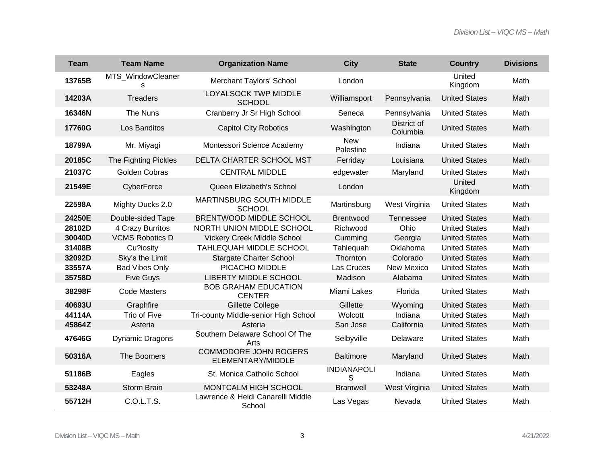| <b>Team</b> | <b>Team Name</b>       | <b>Organization Name</b>                          | <b>City</b>             | <b>State</b>            | <b>Country</b>       | <b>Divisions</b> |
|-------------|------------------------|---------------------------------------------------|-------------------------|-------------------------|----------------------|------------------|
| 13765B      | MTS_WindowCleaner<br>S | <b>Merchant Taylors' School</b>                   | London                  |                         | United<br>Kingdom    | Math             |
| 14203A      | <b>Treaders</b>        | LOYALSOCK TWP MIDDLE<br><b>SCHOOL</b>             | Williamsport            | Pennsylvania            | <b>United States</b> | Math             |
| 16346N      | The Nuns               | Cranberry Jr Sr High School                       | Seneca                  | Pennsylvania            | <b>United States</b> | Math             |
| 17760G      | Los Banditos           | <b>Capitol City Robotics</b>                      | Washington              | District of<br>Columbia | <b>United States</b> | Math             |
| 18799A      | Mr. Miyagi             | Montessori Science Academy                        | <b>New</b><br>Palestine | Indiana                 | <b>United States</b> | Math             |
| 20185C      | The Fighting Pickles   | DELTA CHARTER SCHOOL MST                          | Ferriday                | Louisiana               | <b>United States</b> | Math             |
| 21037C      | Golden Cobras          | <b>CENTRAL MIDDLE</b>                             | edgewater               | Maryland                | <b>United States</b> | Math             |
| 21549E      | CyberForce             | Queen Elizabeth's School                          | London                  |                         | United<br>Kingdom    | Math             |
| 22598A      | Mighty Ducks 2.0       | MARTINSBURG SOUTH MIDDLE<br><b>SCHOOL</b>         | Martinsburg             | West Virginia           | <b>United States</b> | Math             |
| 24250E      | Double-sided Tape      | BRENTWOOD MIDDLE SCHOOL                           | Brentwood               | Tennessee               | <b>United States</b> | Math             |
| 28102D      | 4 Crazy Burritos       | NORTH UNION MIDDLE SCHOOL                         | Richwood                | Ohio                    | <b>United States</b> | Math             |
| 30040D      | <b>VCMS Robotics D</b> | Vickery Creek Middle School                       | Cumming                 | Georgia                 | <b>United States</b> | Math             |
| 31408B      | Cu?iosity              | TAHLEQUAH MIDDLE SCHOOL                           | Tahlequah               | Oklahoma                | <b>United States</b> | Math             |
| 32092D      | Sky's the Limit        | <b>Stargate Charter School</b>                    | Thornton                | Colorado                | <b>United States</b> | Math             |
| 33557A      | <b>Bad Vibes Only</b>  | PICACHO MIDDLE                                    | Las Cruces              | New Mexico              | <b>United States</b> | Math             |
| 35758D      | <b>Five Guys</b>       | <b>LIBERTY MIDDLE SCHOOL</b>                      | Madison                 | Alabama                 | <b>United States</b> | Math             |
| 38298F      | <b>Code Masters</b>    | <b>BOB GRAHAM EDUCATION</b><br><b>CENTER</b>      | Miami Lakes             | Florida                 | <b>United States</b> | Math             |
| 40693U      | Graphfire              | Gillette College                                  | Gillette                | Wyoming                 | <b>United States</b> | Math             |
| 44114A      | Trio of Five           | Tri-county Middle-senior High School              | Wolcott                 | Indiana                 | <b>United States</b> | Math             |
| 45864Z      | Asteria                | Asteria                                           | San Jose                | California              | <b>United States</b> | Math             |
| 47646G      | <b>Dynamic Dragons</b> | Southern Delaware School Of The<br>Arts           | Selbyville              | Delaware                | <b>United States</b> | Math             |
| 50316A      | The Boomers            | <b>COMMODORE JOHN ROGERS</b><br>ELEMENTARY/MIDDLE | <b>Baltimore</b>        | Maryland                | <b>United States</b> | Math             |
| 51186B      | Eagles                 | St. Monica Catholic School                        | <b>INDIANAPOLI</b><br>S | Indiana                 | <b>United States</b> | Math             |
| 53248A      | <b>Storm Brain</b>     | MONTCALM HIGH SCHOOL                              | <b>Bramwell</b>         | West Virginia           | <b>United States</b> | Math             |
| 55712H      | C.O.L.T.S.             | Lawrence & Heidi Canarelli Middle<br>School       | Las Vegas               | Nevada                  | <b>United States</b> | Math             |